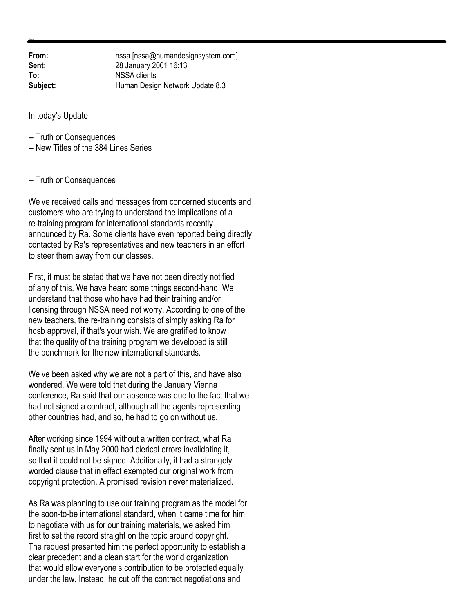**From:** nssa [nssa@humandesignsystem.com]<br> **Sent:** 28 January 2001 16:13 **Sent:** 28 January 2001 16:13 **To:** NSSA clients **Subject:** Human Design Network Update 8.3

In today's Update

-- Truth or Consequences

-- New Titles of the 384 Lines Series

## -- Truth or Consequences

We ve received calls and messages from concerned students and customers who are trying to understand the implications of a re-training program for international standards recently announced by Ra. Some clients have even reported being directly contacted by Ra's representatives and new teachers in an effort to steer them away from our classes.

First, it must be stated that we have not been directly notified of any of this. We have heard some things second-hand. We understand that those who have had their training and/or licensing through NSSA need not worry. According to one of the new teachers, the re-training consists of simply asking Ra for hdsb approval, if that's your wish. We are gratified to know that the quality of the training program we developed is still the benchmark for the new international standards.

We ve been asked why we are not a part of this, and have also wondered. We were told that during the January Vienna conference, Ra said that our absence was due to the fact that we had not signed a contract, although all the agents representing other countries had, and so, he had to go on without us.

After working since 1994 without a written contract, what Ra finally sent us in May 2000 had clerical errors invalidating it, so that it could not be signed. Additionally, it had a strangely worded clause that in effect exempted our original work from copyright protection. A promised revision never materialized.

As Ra was planning to use our training program as the model for the soon-to-be international standard, when it came time for him to negotiate with us for our training materials, we asked him first to set the record straight on the topic around copyright. The request presented him the perfect opportunity to establish a clear precedent and a clean start for the world organization that would allow everyone s contribution to be protected equally under the law. Instead, he cut off the contract negotiations and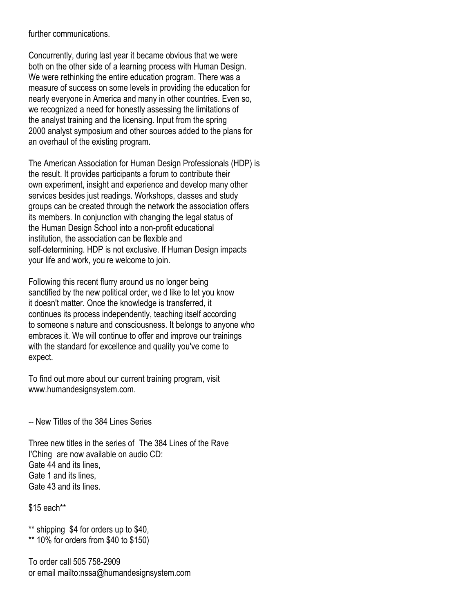further communications.

Concurrently, during last year it became obvious that we were both on the other side of a learning process with Human Design. We were rethinking the entire education program. There was a measure of success on some levels in providing the education for nearly everyone in America and many in other countries. Even so, we recognized a need for honestly assessing the limitations of the analyst training and the licensing. Input from the spring 2000 analyst symposium and other sources added to the plans for an overhaul of the existing program.

The American Association for Human Design Professionals (HDP) is the result. It provides participants a forum to contribute their own experiment, insight and experience and develop many other services besides just readings. Workshops, classes and study groups can be created through the network the association offers its members. In conjunction with changing the legal status of the Human Design School into a non-profit educational institution, the association can be flexible and self-determining. HDP is not exclusive. If Human Design impacts your life and work, you re welcome to join.

Following this recent flurry around us no longer being sanctified by the new political order, we d like to let you know it doesn't matter. Once the knowledge is transferred, it continues its process independently, teaching itself according to someone's nature and consciousness. It belongs to anyone who embraces it. We will continue to offer and improve our trainings with the standard for excellence and quality you've come to expect.

To find out more about our current training program, visit www.humandesignsystem.com.

-- New Titles of the 384 Lines Series

Three new titles in the series of The 384 Lines of the Rave I'Ching are now available on audio CD: Gate 44 and its lines, Gate 1 and its lines, Gate 43 and its lines.

\$15 each\*\*

\*\* shipping \$4 for orders up to \$40, \*\* 10% for orders from \$40 to \$150)

To order call 505 758-2909 or email mailto:nssa@humandesignsystem.com